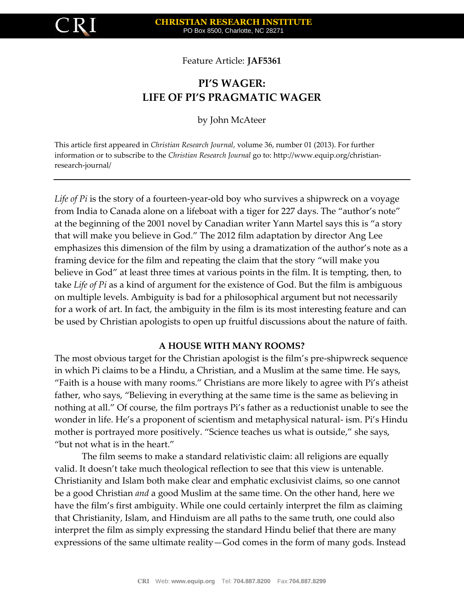

Feature Article: **JAF5361**

# **PI'S WAGER: LIFE OF PI'S PRAGMATIC WAGER**

by John McAteer

This article first appeared in *Christian Research Journal*, volume 36, number 01 (2013). For further information or to subscribe to the *Christian Research Journal* go to: http://www.equip.org/christianresearch-journal/

*Life of Pi* is the story of a fourteen-year-old boy who survives a shipwreck on a voyage from India to Canada alone on a lifeboat with a tiger for 227 days. The "author's note" at the beginning of the 2001 novel by Canadian writer Yann Martel says this is "a story that will make you believe in God." The 2012 film adaptation by director Ang Lee emphasizes this dimension of the film by using a dramatization of the author's note as a framing device for the film and repeating the claim that the story "will make you believe in God" at least three times at various points in the film. It is tempting, then, to take *Life of Pi* as a kind of argument for the existence of God. But the film is ambiguous on multiple levels. Ambiguity is bad for a philosophical argument but not necessarily for a work of art. In fact, the ambiguity in the film is its most interesting feature and can be used by Christian apologists to open up fruitful discussions about the nature of faith.

## **A HOUSE WITH MANY ROOMS?**

The most obvious target for the Christian apologist is the film's pre-shipwreck sequence in which Pi claims to be a Hindu, a Christian, and a Muslim at the same time. He says, "Faith is a house with many rooms." Christians are more likely to agree with Pi's atheist father, who says, "Believing in everything at the same time is the same as believing in nothing at all." Of course, the film portrays Pi's father as a reductionist unable to see the wonder in life. He's a proponent of scientism and metaphysical natural- ism. Pi's Hindu mother is portrayed more positively. "Science teaches us what is outside," she says, "but not what is in the heart."

The film seems to make a standard relativistic claim: all religions are equally valid. It doesn't take much theological reflection to see that this view is untenable. Christianity and Islam both make clear and emphatic exclusivist claims, so one cannot be a good Christian *and* a good Muslim at the same time. On the other hand, here we have the film's first ambiguity. While one could certainly interpret the film as claiming that Christianity, Islam, and Hinduism are all paths to the same truth, one could also interpret the film as simply expressing the standard Hindu belief that there are many expressions of the same ultimate reality—God comes in the form of many gods. Instead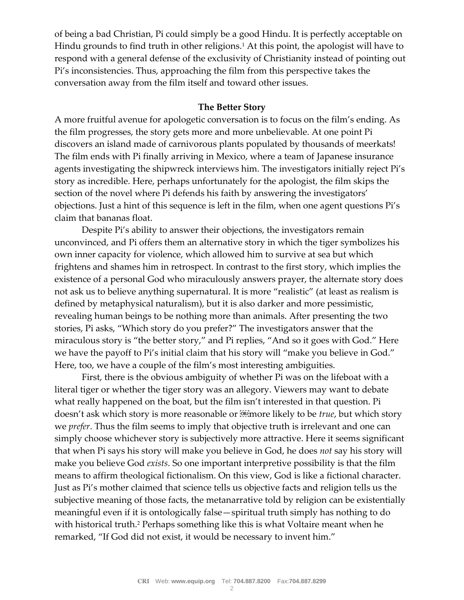of being a bad Christian, Pi could simply be a good Hindu. It is perfectly acceptable on Hindu grounds to find truth in other religions.<sup>1</sup> At this point, the apologist will have to respond with a general defense of the exclusivity of Christianity instead of pointing out Pi's inconsistencies. Thus, approaching the film from this perspective takes the conversation away from the film itself and toward other issues.

#### **The Better Story**

A more fruitful avenue for apologetic conversation is to focus on the film's ending. As the film progresses, the story gets more and more unbelievable. At one point Pi discovers an island made of carnivorous plants populated by thousands of meerkats! The film ends with Pi finally arriving in Mexico, where a team of Japanese insurance agents investigating the shipwreck interviews him. The investigators initially reject Pi's story as incredible. Here, perhaps unfortunately for the apologist, the film skips the section of the novel where Pi defends his faith by answering the investigators' objections. Just a hint of this sequence is left in the film, when one agent questions Pi's claim that bananas float.

Despite Pi's ability to answer their objections, the investigators remain unconvinced, and Pi offers them an alternative story in which the tiger symbolizes his own inner capacity for violence, which allowed him to survive at sea but which frightens and shames him in retrospect. In contrast to the first story, which implies the existence of a personal God who miraculously answers prayer, the alternate story does not ask us to believe anything supernatural. It is more "realistic" (at least as realism is defined by metaphysical naturalism), but it is also darker and more pessimistic, revealing human beings to be nothing more than animals. After presenting the two stories, Pi asks, "Which story do you prefer?" The investigators answer that the miraculous story is "the better story," and Pi replies, "And so it goes with God." Here we have the payoff to Pi's initial claim that his story will "make you believe in God." Here, too, we have a couple of the film's most interesting ambiguities.

First, there is the obvious ambiguity of whether Pi was on the lifeboat with a literal tiger or whether the tiger story was an allegory. Viewers may want to debate what really happened on the boat, but the film isn't interested in that question. Pi doesn't ask which story is more reasonable or **Example** or the likely to be *true*, but which story we *prefer*. Thus the film seems to imply that objective truth is irrelevant and one can simply choose whichever story is subjectively more attractive. Here it seems significant that when Pi says his story will make you believe in God, he does *not* say his story will make you believe God *exists*. So one important interpretive possibility is that the film means to affirm theological fictionalism. On this view, God is like a fictional character. Just as Pi's mother claimed that science tells us objective facts and religion tells us the subjective meaning of those facts, the metanarrative told by religion can be existentially meaningful even if it is ontologically false—spiritual truth simply has nothing to do with historical truth.<sup>2</sup> Perhaps something like this is what Voltaire meant when he remarked, "If God did not exist, it would be necessary to invent him."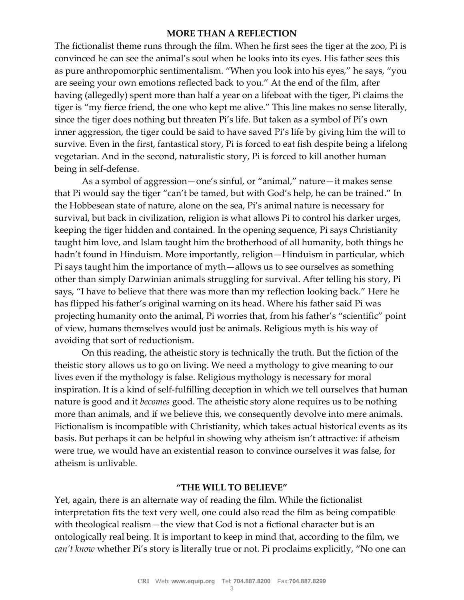## **MORE THAN A REFLECTION**

The fictionalist theme runs through the film. When he first sees the tiger at the zoo, Pi is convinced he can see the animal's soul when he looks into its eyes. His father sees this as pure anthropomorphic sentimentalism. "When you look into his eyes," he says, "you are seeing your own emotions reflected back to you." At the end of the film, after having (allegedly) spent more than half a year on a lifeboat with the tiger, Pi claims the tiger is "my fierce friend, the one who kept me alive." This line makes no sense literally, since the tiger does nothing but threaten Pi's life. But taken as a symbol of Pi's own inner aggression, the tiger could be said to have saved Pi's life by giving him the will to survive. Even in the first, fantastical story, Pi is forced to eat fish despite being a lifelong vegetarian. And in the second, naturalistic story, Pi is forced to kill another human being in self-defense.

As a symbol of aggression—one's sinful, or "animal," nature—it makes sense that Pi would say the tiger "can't be tamed, but with God's help, he can be trained." In the Hobbesean state of nature, alone on the sea, Pi's animal nature is necessary for survival, but back in civilization, religion is what allows Pi to control his darker urges, keeping the tiger hidden and contained. In the opening sequence, Pi says Christianity taught him love, and Islam taught him the brotherhood of all humanity, both things he hadn't found in Hinduism. More importantly, religion—Hinduism in particular, which Pi says taught him the importance of myth—allows us to see ourselves as something other than simply Darwinian animals struggling for survival. After telling his story, Pi says, "I have to believe that there was more than my reflection looking back." Here he has flipped his father's original warning on its head. Where his father said Pi was projecting humanity onto the animal, Pi worries that, from his father's "scientific" point of view, humans themselves would just be animals. Religious myth is his way of avoiding that sort of reductionism.

On this reading, the atheistic story is technically the truth. But the fiction of the theistic story allows us to go on living. We need a mythology to give meaning to our lives even if the mythology is false. Religious mythology is necessary for moral inspiration. It is a kind of self-fulfilling deception in which we tell ourselves that human nature is good and it *becomes* good. The atheistic story alone requires us to be nothing more than animals, and if we believe this, we consequently devolve into mere animals. Fictionalism is incompatible with Christianity, which takes actual historical events as its basis. But perhaps it can be helpful in showing why atheism isn't attractive: if atheism were true, we would have an existential reason to convince ourselves it was false, for atheism is unlivable.

## **"THE WILL TO BELIEVE"**

Yet, again, there is an alternate way of reading the film. While the fictionalist interpretation fits the text very well, one could also read the film as being compatible with theological realism—the view that God is not a fictional character but is an ontologically real being. It is important to keep in mind that, according to the film, we *can't know* whether Pi's story is literally true or not. Pi proclaims explicitly, "No one can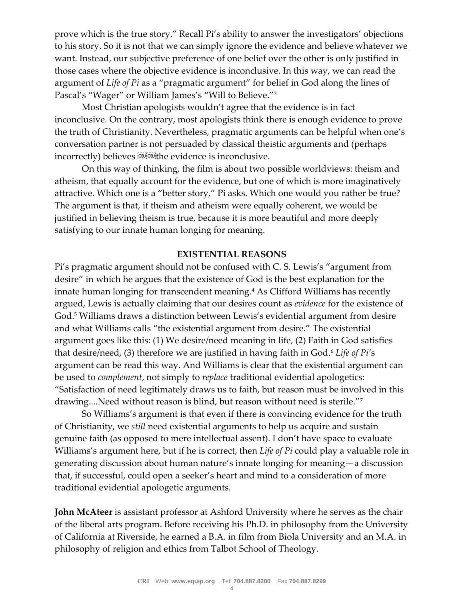prove which is the true story." Recall Pi's ability to answer the investigators' objections to his story. So it is not that we can simply ignore the evidence and believe whatever we want. Instead, our subjective preference of one belief over the other is only justified in those cases where the objective evidence is inconclusive. In this way, we can read the argument of *Life of Pi* as a "pragmatic argument" for belief in God along the lines of Pascal's "Wager" or William James's "Will to Believe."<sup>3</sup>

Most Christian apologists wouldn't agree that the evidence is in fact inconclusive. On the contrary, most apologists think there is enough evidence to prove the truth of Christianity. Nevertheless, pragmatic arguments can be helpful when one's conversation partner is not persuaded by classical theistic arguments and (perhaps incorrectly) believes **ELEGE** the evidence is inconclusive.

On this way of thinking, the film is about two possible worldviews: theism and atheism, that equally account for the evidence, but one of which is more imaginatively attractive. Which one is a "better story," Pi asks. Which one would you rather be true? The argument is that, if theism and atheism were equally coherent, we would be justified in believing theism is true, because it is more beautiful and more deeply satisfying to our innate human longing for meaning.

### **EXISTENTIAL REASONS**

Pi's pragmatic argument should not be confused with C. S. Lewis's "argument from desire" in which he argues that the existence of God is the best explanation for the innate human longing for transcendent meaning.<sup>4</sup> As Clifford Williams has recently argued, Lewis is actually claiming that our desires count as *evidence* for the existence of God.<sup>5</sup> Williams draws a distinction between Lewis's evidential argument from desire and what Williams calls "the existential argument from desire." The existential argument goes like this: (1) We desire/need meaning in life, (2) Faith in God satisfies that desire/need, (3) therefore we are justified in having faith in God.<sup>6</sup> Life of Pi's argument can be read this way. And Williams is clear that the existential argument can be used to *complement*, not simply to *replace* traditional evidential apologetics: "Satisfaction of need legitimately draws us to faith, but reason must be involved in this drawing....Need without reason is blind, but reason without need is sterile."<sup>7</sup>

So Williams's argument is that even if there is convincing evidence for the truth of Christianity, we *still* need existential arguments to help us acquire and sustain genuine faith (as opposed to mere intellectual assent). I don't have space to evaluate Williams's argument here, but if he is correct, then *Life of Pi* could play a valuable role in generating discussion about human nature's innate longing for meaning—a discussion that, if successful, could open a seeker's heart and mind to a consideration of more traditional evidential apologetic arguments.

**John McAteer** is assistant professor at Ashford University where he serves as the chair of the liberal arts program. Before receiving his Ph.D. in philosophy from the University of California at Riverside, he earned a B.A. in film from Biola University and an M.A. in philosophy of religion and ethics from Talbot School of Theology.